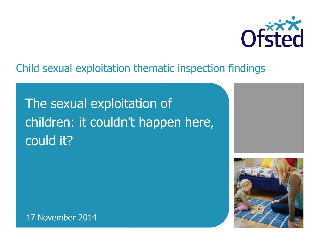

### Child sexual exploitation thematic inspection findings

# The sexual exploitation of children: it couldn't happen here, could it?



17 November 2014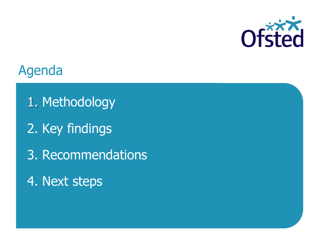

### Agenda

- 1. Methodology
- 2. Key findings
- 3. Recommendations
- 4. Next steps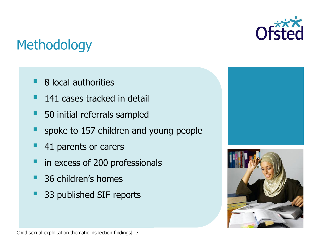

## **Methodology**

- 8 local authorities
- 141 cases tracked in detail
- 50 initial referrals sampled
- spoke to 157 children and young people
- 41 parents or carers
- in excess of 200 professionals
- 36 children's homes
- 33 published SIF reports



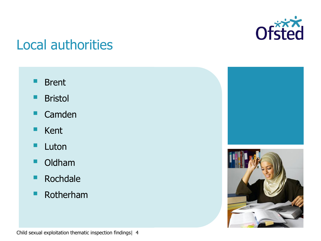

## Local authorities

- Brent
- Bristol
- **Camden**
- **Kent**
- **Luton**
- Oldham
- **Rochdale**
- **Rotherham**



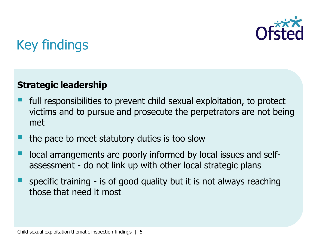

### **Strategic leadership**

- full responsibilities to prevent child sexual exploitation, to protect victims and to pursue and prosecute the perpetrators are not being met
- the pace to meet statutory duties is too slow
- local arrangements are poorly informed by local issues and selfassessment - do not link up with other local strategic plans
- specific training is of good quality but it is not always reaching those that need it most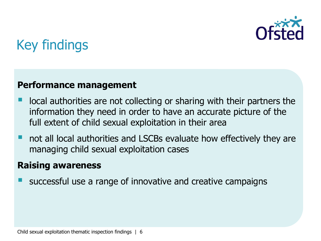

#### **Performance management**

- local authorities are not collecting or sharing with their partners the information they need in order to have an accurate picture of the full extent of child sexual exploitation in their area
- not all local authorities and LSCBs evaluate how effectively they are managing child sexual exploitation cases

#### **Raising awareness**

successful use a range of innovative and creative campaigns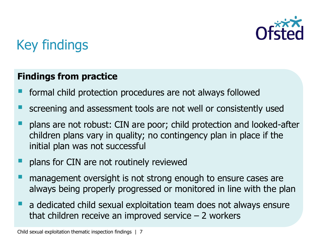

### **Findings from practice**

- formal child protection procedures are not always followed
- screening and assessment tools are not well or consistently used
- plans are not robust: CIN are poor; child protection and looked-after children plans vary in quality; no contingency plan in place if the initial plan was not successful
- plans for CIN are not routinely reviewed
- management oversight is not strong enough to ensure cases are always being properly progressed or monitored in line with the plan
- **a** dedicated child sexual exploitation team does not always ensure that children receive an improved service  $-2$  workers

Child sexual exploitation thematic inspection findings | 7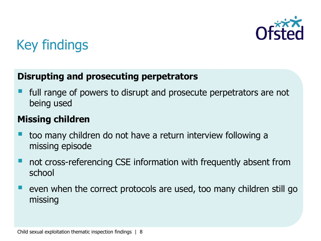

### **Disrupting and prosecuting perpetrators**

 full range of powers to disrupt and prosecute perpetrators are not being used

### **Missing children**

- too many children do not have a return interview following a missing episode
- not cross-referencing CSE information with frequently absent from school
- $\blacksquare$  even when the correct protocols are used, too many children still go missing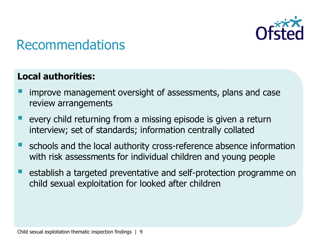

#### **Local authorities:**

- improve management oversight of assessments, plans and case review arrangements
- every child returning from a missing episode is given a return interview; set of standards; information centrally collated
- **E** schools and the local authority cross-reference absence information with risk assessments for individual children and young people
- $\blacksquare$  establish a targeted preventative and self-protection programme on child sexual exploitation for looked after children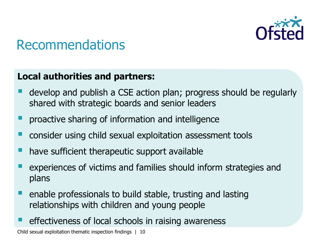

#### **Local authorities and partners:**

- develop and publish a CSE action plan; progress should be regularly shared with strategic boards and senior leaders
- **P** proactive sharing of information and intelligence
- consider using child sexual exploitation assessment tools
- have sufficient therapeutic support available
- experiences of victims and families should inform strategies and plans
- $\blacksquare$  enable professionals to build stable, trusting and lasting relationships with children and young people
- effectiveness of local schools in raising awareness

Child sexual exploitation thematic inspection findings | 10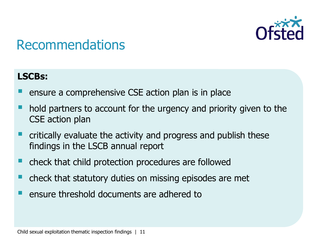

#### **LSCBs:**

- ensure a comprehensive CSE action plan is in place
- hold partners to account for the urgency and priority given to the CSE action plan
- critically evaluate the activity and progress and publish these findings in the LSCB annual report
- check that child protection procedures are followed
- check that statutory duties on missing episodes are met
- $\blacksquare$  ensure threshold documents are adhered to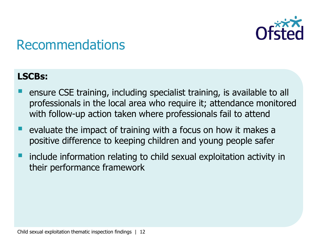

#### **LSCBs:**

- ensure CSE training, including specialist training, is available to all professionals in the local area who require it; attendance monitored with follow-up action taken where professionals fail to attend
- **E** evaluate the impact of training with a focus on how it makes a positive difference to keeping children and young people safer
- include information relating to child sexual exploitation activity in their performance framework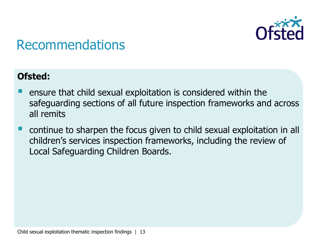

### **Ofsted:**

- ensure that child sexual exploitation is considered within the safeguarding sections of all future inspection frameworks and across all remits
- continue to sharpen the focus given to child sexual exploitation in all children's services inspection frameworks, including the review of Local Safeguarding Children Boards.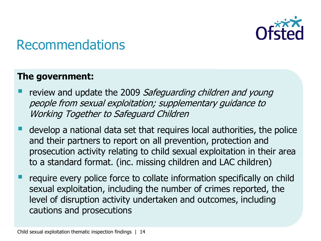

#### **The government:**

- review and update the 2009 Safeguarding children and young people from sexual exploitation; supplementary guidance to Working Together to Safeguard Children
- develop a national data set that requires local authorities, the police and their partners to report on all prevention, protection and prosecution activity relating to child sexual exploitation in their area to a standard format. (inc. missing children and LAC children)
- require every police force to collate information specifically on child sexual exploitation, including the number of crimes reported, the level of disruption activity undertaken and outcomes, including cautions and prosecutions